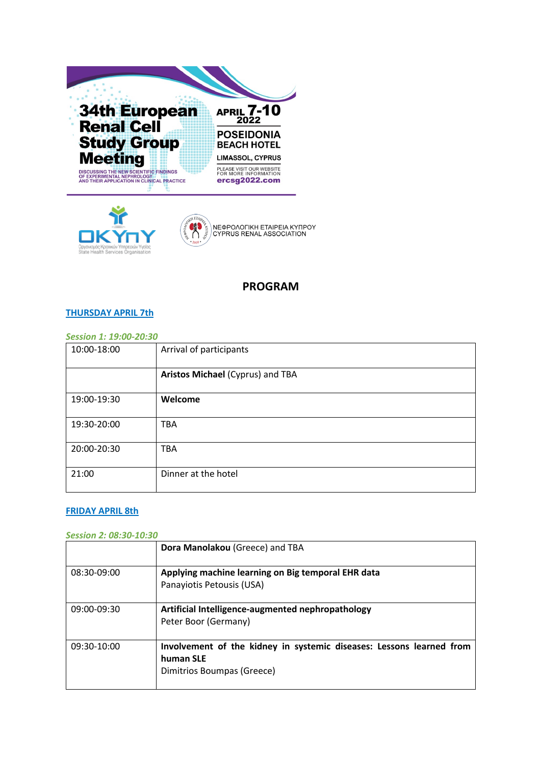



# **PROGRAM**

### **THURSDAY APRIL 7th**

### *Session 1: 19:00-20:30*

| 10:00-18:00 | Arrival of participants          |
|-------------|----------------------------------|
|             | Aristos Michael (Cyprus) and TBA |
| 19:00-19:30 | Welcome                          |
| 19:30-20:00 | <b>TBA</b>                       |
| 20:00-20:30 | <b>TBA</b>                       |
| 21:00       | Dinner at the hotel              |

### **FRIDAY APRIL 8th**

#### *Session 2: 08:30-10:30*

|             | Dora Manolakou (Greece) and TBA                                                                                 |
|-------------|-----------------------------------------------------------------------------------------------------------------|
| 08:30-09:00 | Applying machine learning on Big temporal EHR data<br>Panayiotis Petousis (USA)                                 |
| 09:00-09:30 | Artificial Intelligence-augmented nephropathology<br>Peter Boor (Germany)                                       |
| 09:30-10:00 | Involvement of the kidney in systemic diseases: Lessons learned from<br>human SLE<br>Dimitrios Boumpas (Greece) |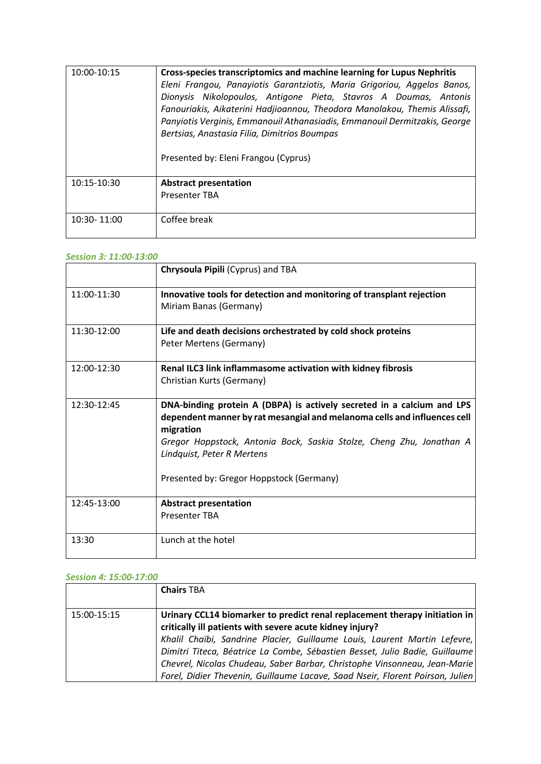| 10:00-10:15 | Cross-species transcriptomics and machine learning for Lupus Nephritis<br>Eleni Frangou, Panayiotis Garantziotis, Maria Grigoriou, Aggelos Banos,<br>Dionysis Nikolopoulos, Antigone Pieta, Stavros A Doumas, Antonis<br>Fanouriakis, Aikaterini Hadjioannou, Theodora Manolakou, Themis Alissafi,<br>Panyiotis Verginis, Emmanouil Athanasiadis, Emmanouil Dermitzakis, George<br>Bertsias, Anastasia Filia, Dimitrios Boumpas |
|-------------|---------------------------------------------------------------------------------------------------------------------------------------------------------------------------------------------------------------------------------------------------------------------------------------------------------------------------------------------------------------------------------------------------------------------------------|
|             | Presented by: Eleni Frangou (Cyprus)                                                                                                                                                                                                                                                                                                                                                                                            |
| 10:15-10:30 | <b>Abstract presentation</b><br><b>Presenter TBA</b>                                                                                                                                                                                                                                                                                                                                                                            |
| 10:30-11:00 | Coffee break                                                                                                                                                                                                                                                                                                                                                                                                                    |

### *Session 3: 11:00-13:00*

|               | Chrysoula Pipili (Cyprus) and TBA                                                                                                                                                                                                                                                                                 |
|---------------|-------------------------------------------------------------------------------------------------------------------------------------------------------------------------------------------------------------------------------------------------------------------------------------------------------------------|
| $11:00-11:30$ | Innovative tools for detection and monitoring of transplant rejection<br>Miriam Banas (Germany)                                                                                                                                                                                                                   |
| 11:30-12:00   | Life and death decisions orchestrated by cold shock proteins<br>Peter Mertens (Germany)                                                                                                                                                                                                                           |
| 12:00-12:30   | Renal ILC3 link inflammasome activation with kidney fibrosis<br>Christian Kurts (Germany)                                                                                                                                                                                                                         |
| 12:30-12:45   | DNA-binding protein A (DBPA) is actively secreted in a calcium and LPS<br>dependent manner by rat mesangial and melanoma cells and influences cell<br>migration<br>Gregor Hoppstock, Antonia Bock, Saskia Stolze, Cheng Zhu, Jonathan A<br>Lindquist, Peter R Mertens<br>Presented by: Gregor Hoppstock (Germany) |
| 12:45-13:00   | <b>Abstract presentation</b><br><b>Presenter TBA</b>                                                                                                                                                                                                                                                              |
| 13:30         | Lunch at the hotel                                                                                                                                                                                                                                                                                                |

### *Session 4: 15:00-17:00*

|             | <b>Chairs TBA</b>                                                                                                                                                                                                                                                                                                                                                                                                                                                |
|-------------|------------------------------------------------------------------------------------------------------------------------------------------------------------------------------------------------------------------------------------------------------------------------------------------------------------------------------------------------------------------------------------------------------------------------------------------------------------------|
| 15:00-15:15 | Urinary CCL14 biomarker to predict renal replacement therapy initiation in<br>critically ill patients with severe acute kidney injury?<br>Khalil Chaïbi, Sandrine Placier, Guillaume Louis, Laurent Martin Lefevre,<br>Dimitri Titeca, Béatrice La Combe, Sébastien Besset, Julio Badie, Guillaume<br>Chevrel, Nicolas Chudeau, Saber Barbar, Christophe Vinsonneau, Jean-Marie<br>Forel, Didier Thevenin, Guillaume Lacave, Saad Nseir, Florent Poirson, Julien |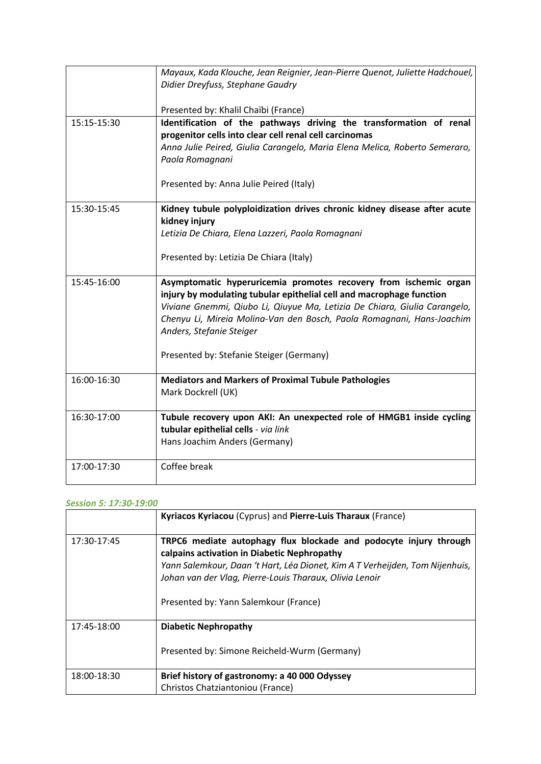|             | Mayaux, Kada Klouche, Jean Reignier, Jean-Pierre Quenot, Juliette Hadchouel,<br>Didier Dreyfuss, Stephane Gaudry<br>Presented by: Khalil Chaïbi (France)                                                                                                                                                                   |
|-------------|----------------------------------------------------------------------------------------------------------------------------------------------------------------------------------------------------------------------------------------------------------------------------------------------------------------------------|
| 15:15-15:30 | Identification of the pathways driving the transformation of renal                                                                                                                                                                                                                                                         |
|             | progenitor cells into clear cell renal cell carcinomas                                                                                                                                                                                                                                                                     |
|             | Anna Julie Peired, Giulia Carangelo, Maria Elena Melica, Roberto Semeraro,                                                                                                                                                                                                                                                 |
|             | Paola Romagnani                                                                                                                                                                                                                                                                                                            |
|             | Presented by: Anna Julie Peired (Italy)                                                                                                                                                                                                                                                                                    |
| 15:30-15:45 | Kidney tubule polyploidization drives chronic kidney disease after acute<br>kidney injury                                                                                                                                                                                                                                  |
|             | Letizia De Chiara, Elena Lazzeri, Paola Romagnani                                                                                                                                                                                                                                                                          |
|             | Presented by: Letizia De Chiara (Italy)                                                                                                                                                                                                                                                                                    |
| 15:45-16:00 | Asymptomatic hyperuricemia promotes recovery from ischemic organ<br>injury by modulating tubular epithelial cell and macrophage function<br>Viviane Gnemmi, Qiubo Li, Qiuyue Ma, Letizia De Chiara, Giulia Carangelo,<br>Chenyu Li, Mireia Molina-Van den Bosch, Paola Romagnani, Hans-Joachim<br>Anders, Stefanie Steiger |
|             | Presented by: Stefanie Steiger (Germany)                                                                                                                                                                                                                                                                                   |
| 16:00-16:30 | <b>Mediators and Markers of Proximal Tubule Pathologies</b><br>Mark Dockrell (UK)                                                                                                                                                                                                                                          |
| 16:30-17:00 | Tubule recovery upon AKI: An unexpected role of HMGB1 inside cycling                                                                                                                                                                                                                                                       |
|             | tubular epithelial cells - via link                                                                                                                                                                                                                                                                                        |
|             | Hans Joachim Anders (Germany)                                                                                                                                                                                                                                                                                              |
| 17:00-17:30 | Coffee break                                                                                                                                                                                                                                                                                                               |

### *Session 5: 17:30-19:00*

|             | Kyriacos Kyriacou (Cyprus) and Pierre-Luis Tharaux (France)                                                                                                                                                                                                                                          |
|-------------|------------------------------------------------------------------------------------------------------------------------------------------------------------------------------------------------------------------------------------------------------------------------------------------------------|
| 17:30-17:45 | TRPC6 mediate autophagy flux blockade and podocyte injury through<br>calpains activation in Diabetic Nephropathy<br>Yann Salemkour, Daan 't Hart, Léa Dionet, Kim A T Verheijden, Tom Nijenhuis,<br>Johan van der Vlag, Pierre-Louis Tharaux, Olivia Lenoir<br>Presented by: Yann Salemkour (France) |
| 17:45-18:00 | <b>Diabetic Nephropathy</b><br>Presented by: Simone Reicheld-Wurm (Germany)                                                                                                                                                                                                                          |
| 18:00-18:30 | Brief history of gastronomy: a 40 000 Odyssey<br>Christos Chatziantoniou (France)                                                                                                                                                                                                                    |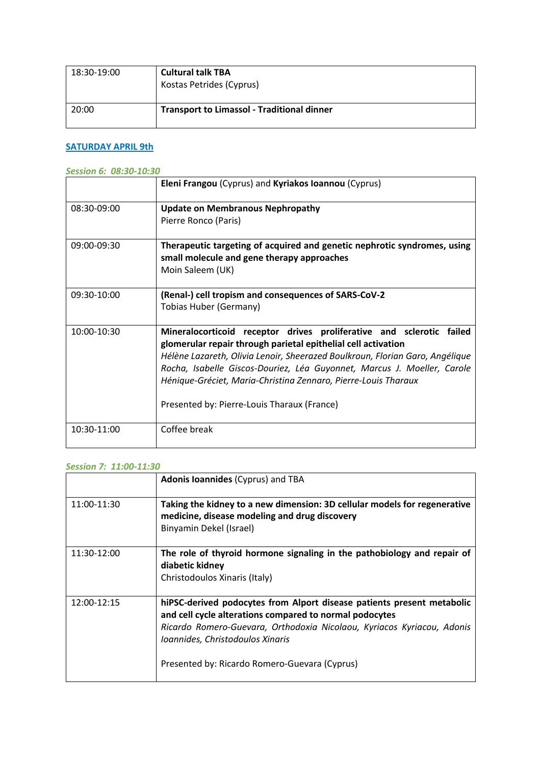| 18:30-19:00 | <b>Cultural talk TBA</b><br>Kostas Petrides (Cyprus) |
|-------------|------------------------------------------------------|
| 20:00       | <b>Transport to Limassol - Traditional dinner</b>    |

## **SATURDAY APRIL 9th**

### *Session 6: 08:30-10:30*

|               | Eleni Frangou (Cyprus) and Kyriakos Ioannou (Cyprus)                                                                                                                                                                                                                                                                                                                                                              |
|---------------|-------------------------------------------------------------------------------------------------------------------------------------------------------------------------------------------------------------------------------------------------------------------------------------------------------------------------------------------------------------------------------------------------------------------|
| 08:30-09:00   | <b>Update on Membranous Nephropathy</b><br>Pierre Ronco (Paris)                                                                                                                                                                                                                                                                                                                                                   |
| 09:00-09:30   | Therapeutic targeting of acquired and genetic nephrotic syndromes, using<br>small molecule and gene therapy approaches<br>Moin Saleem (UK)                                                                                                                                                                                                                                                                        |
| 09:30-10:00   | (Renal-) cell tropism and consequences of SARS-CoV-2<br>Tobias Huber (Germany)                                                                                                                                                                                                                                                                                                                                    |
| 10:00-10:30   | Mineralocorticoid receptor drives proliferative and sclerotic failed<br>glomerular repair through parietal epithelial cell activation<br>Hélène Lazareth, Olivia Lenoir, Sheerazed Boulkroun, Florian Garo, Angélique<br>Rocha, Isabelle Giscos-Douriez, Léa Guyonnet, Marcus J. Moeller, Carole<br>Hénique-Gréciet, Maria-Christina Zennaro, Pierre-Louis Tharaux<br>Presented by: Pierre-Louis Tharaux (France) |
| $10:30-11:00$ | Coffee break                                                                                                                                                                                                                                                                                                                                                                                                      |

### *Session 7: 11:00-11:30*

|             | <b>Adonis Ioannides (Cyprus) and TBA</b>                                                                                                                                                                                                                                                         |
|-------------|--------------------------------------------------------------------------------------------------------------------------------------------------------------------------------------------------------------------------------------------------------------------------------------------------|
| 11:00-11:30 | Taking the kidney to a new dimension: 3D cellular models for regenerative<br>medicine, disease modeling and drug discovery<br>Binyamin Dekel (Israel)                                                                                                                                            |
| 11:30-12:00 | The role of thyroid hormone signaling in the pathobiology and repair of<br>diabetic kidney<br>Christodoulos Xinaris (Italy)                                                                                                                                                                      |
| 12:00-12:15 | hiPSC-derived podocytes from Alport disease patients present metabolic<br>and cell cycle alterations compared to normal podocytes<br>Ricardo Romero-Guevara, Orthodoxia Nicolaou, Kyriacos Kyriacou, Adonis<br>Ioannides, Christodoulos Xinaris<br>Presented by: Ricardo Romero-Guevara (Cyprus) |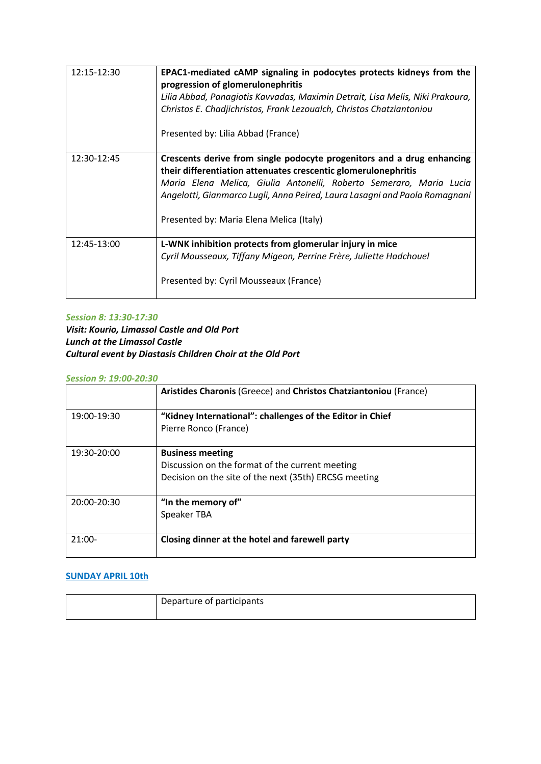| 12:15-12:30 | EPAC1-mediated cAMP signaling in podocytes protects kidneys from the<br>progression of glomerulonephritis<br>Lilia Abbad, Panagiotis Kavvadas, Maximin Detrait, Lisa Melis, Niki Prakoura,<br>Christos E. Chadjichristos, Frank Lezoualch, Christos Chatziantoniou<br>Presented by: Lilia Abbad (France)                                  |
|-------------|-------------------------------------------------------------------------------------------------------------------------------------------------------------------------------------------------------------------------------------------------------------------------------------------------------------------------------------------|
| 12:30-12:45 | Crescents derive from single podocyte progenitors and a drug enhancing<br>their differentiation attenuates crescentic glomerulonephritis<br>Maria Elena Melica, Giulia Antonelli, Roberto Semeraro, Maria Lucia<br>Angelotti, Gianmarco Lugli, Anna Peired, Laura Lasagni and Paola Romagnani<br>Presented by: Maria Elena Melica (Italy) |
| 12:45-13:00 | L-WNK inhibition protects from glomerular injury in mice<br>Cyril Mousseaux, Tiffany Migeon, Perrine Frère, Juliette Hadchouel<br>Presented by: Cyril Mousseaux (France)                                                                                                                                                                  |

### *Session 8: 13:30-17:30*

*Visit: Kourio, Limassol Castle and Old Port Lunch at the Limassol Castle Cultural event by Diastasis Children Choir at the Old Port*

### *Session 9: 19:00-20:30*

|             | Aristides Charonis (Greece) and Christos Chatziantoniou (France)                                                                    |
|-------------|-------------------------------------------------------------------------------------------------------------------------------------|
| 19:00-19:30 | "Kidney International": challenges of the Editor in Chief<br>Pierre Ronco (France)                                                  |
| 19:30-20:00 | <b>Business meeting</b><br>Discussion on the format of the current meeting<br>Decision on the site of the next (35th) ERCSG meeting |
| 20:00-20:30 | "In the memory of"<br>Speaker TBA                                                                                                   |
| $21:00-$    | Closing dinner at the hotel and farewell party                                                                                      |

### **SUNDAY APRIL 10th**

| Departure of participants |
|---------------------------|
|                           |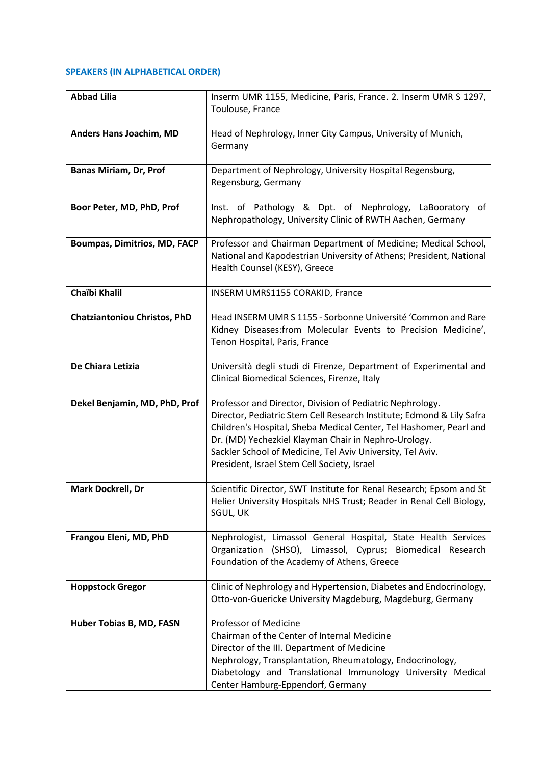### **SPEAKERS (IN ALPHABETICAL ORDER)**

| <b>Abbad Lilia</b>                  | Inserm UMR 1155, Medicine, Paris, France. 2. Inserm UMR S 1297,<br>Toulouse, France                                                                                                                                                                                                                                                                                           |
|-------------------------------------|-------------------------------------------------------------------------------------------------------------------------------------------------------------------------------------------------------------------------------------------------------------------------------------------------------------------------------------------------------------------------------|
| Anders Hans Joachim, MD             | Head of Nephrology, Inner City Campus, University of Munich,<br>Germany                                                                                                                                                                                                                                                                                                       |
| <b>Banas Miriam, Dr, Prof</b>       | Department of Nephrology, University Hospital Regensburg,<br>Regensburg, Germany                                                                                                                                                                                                                                                                                              |
| Boor Peter, MD, PhD, Prof           | Inst. of Pathology & Dpt. of Nephrology, LaBooratory of<br>Nephropathology, University Clinic of RWTH Aachen, Germany                                                                                                                                                                                                                                                         |
| <b>Boumpas, Dimitrios, MD, FACP</b> | Professor and Chairman Department of Medicine; Medical School,<br>National and Kapodestrian University of Athens; President, National<br>Health Counsel (KESY), Greece                                                                                                                                                                                                        |
| Chaïbi Khalil                       | INSERM UMRS1155 CORAKID, France                                                                                                                                                                                                                                                                                                                                               |
| <b>Chatziantoniou Christos, PhD</b> | Head INSERM UMR S 1155 - Sorbonne Université 'Common and Rare<br>Kidney Diseases: from Molecular Events to Precision Medicine',<br>Tenon Hospital, Paris, France                                                                                                                                                                                                              |
| De Chiara Letizia                   | Università degli studi di Firenze, Department of Experimental and<br>Clinical Biomedical Sciences, Firenze, Italy                                                                                                                                                                                                                                                             |
| Dekel Benjamin, MD, PhD, Prof       | Professor and Director, Division of Pediatric Nephrology.<br>Director, Pediatric Stem Cell Research Institute; Edmond & Lily Safra<br>Children's Hospital, Sheba Medical Center, Tel Hashomer, Pearl and<br>Dr. (MD) Yechezkiel Klayman Chair in Nephro-Urology.<br>Sackler School of Medicine, Tel Aviv University, Tel Aviv.<br>President, Israel Stem Cell Society, Israel |
| Mark Dockrell, Dr                   | Scientific Director, SWT Institute for Renal Research; Epsom and St<br>Helier University Hospitals NHS Trust; Reader in Renal Cell Biology,<br>SGUL, UK                                                                                                                                                                                                                       |
| Frangou Eleni, MD, PhD              | Nephrologist, Limassol General Hospital, State Health Services<br>Organization (SHSO), Limassol, Cyprus; Biomedical Research<br>Foundation of the Academy of Athens, Greece                                                                                                                                                                                                   |
| <b>Hoppstock Gregor</b>             | Clinic of Nephrology and Hypertension, Diabetes and Endocrinology,<br>Otto-von-Guericke University Magdeburg, Magdeburg, Germany                                                                                                                                                                                                                                              |
| Huber Tobias B, MD, FASN            | Professor of Medicine<br>Chairman of the Center of Internal Medicine<br>Director of the III. Department of Medicine<br>Nephrology, Transplantation, Rheumatology, Endocrinology,<br>Diabetology and Translational Immunology University Medical<br>Center Hamburg-Eppendorf, Germany                                                                                          |